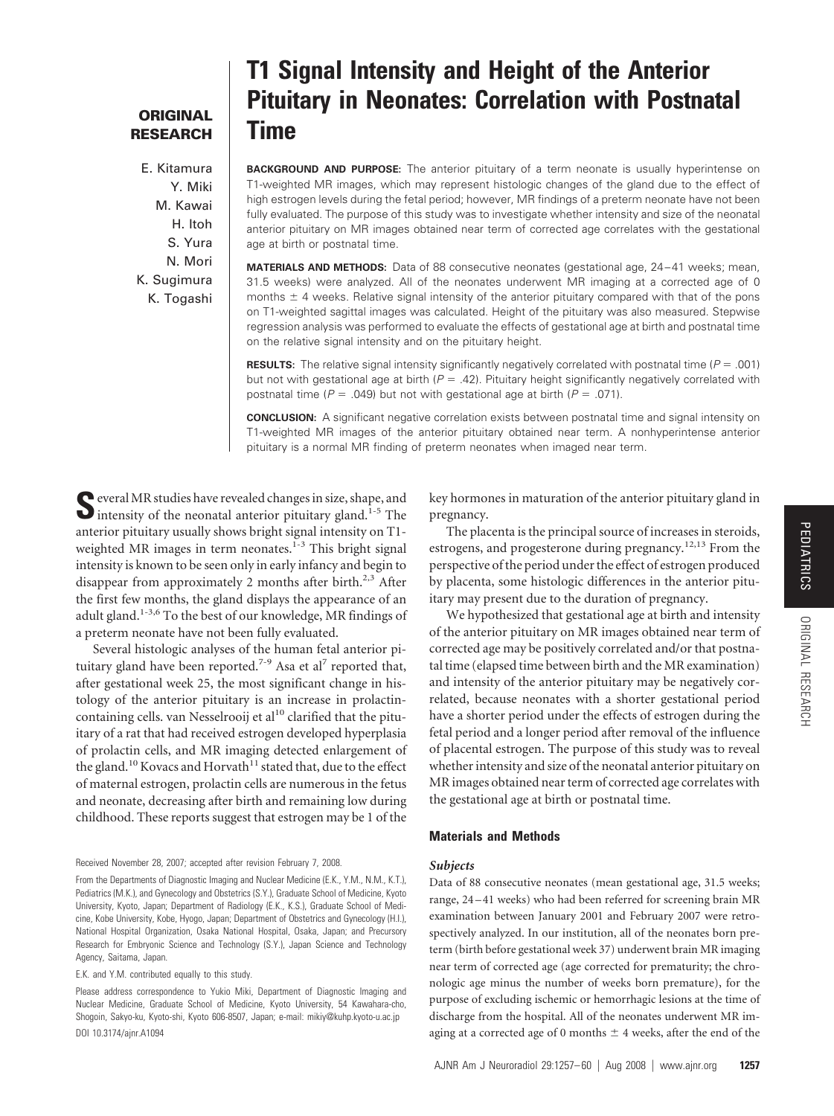## **ORIGINAL RESEARCH**

E. Kitamura Y. Miki M. Kawai H. Itoh S. Yura N. Mori K. Sugimura K. Togashi

# **T1 Signal Intensity and Height of the Anterior Pituitary in Neonates: Correlation with Postnatal Time**

**BACKGROUND AND PURPOSE:** The anterior pituitary of a term neonate is usually hyperintense on T1-weighted MR images, which may represent histologic changes of the gland due to the effect of high estrogen levels during the fetal period; however, MR findings of a preterm neonate have not been fully evaluated. The purpose of this study was to investigate whether intensity and size of the neonatal anterior pituitary on MR images obtained near term of corrected age correlates with the gestational age at birth or postnatal time.

**MATERIALS AND METHODS:** Data of 88 consecutive neonates (gestational age, 24-41 weeks; mean, 31.5 weeks) were analyzed. All of the neonates underwent MR imaging at a corrected age of 0 months  $\pm$  4 weeks. Relative signal intensity of the anterior pituitary compared with that of the pons on T1-weighted sagittal images was calculated. Height of the pituitary was also measured. Stepwise regression analysis was performed to evaluate the effects of gestational age at birth and postnatal time on the relative signal intensity and on the pituitary height.

**RESULTS:** The relative signal intensity significantly negatively correlated with postnatal time (*P* - .001) but not with gestational age at birth  $(P = .42)$ . Pituitary height significantly negatively correlated with postnatal time ( $P = .049$ ) but not with gestational age at birth ( $P = .071$ ).

**CONCLUSION:** A significant negative correlation exists between postnatal time and signal intensity on T1-weighted MR images of the anterior pituitary obtained near term. A nonhyperintense anterior pituitary is a normal MR finding of preterm neonates when imaged near term.

**S**everal MR studies have revealed changes in size, shape, and  $\bullet$  intensity of the neonatal anterior pituitary gland.<sup>1-5</sup> The anterior pituitary usually shows bright signal intensity on T1 weighted MR images in term neonates. $1-3$  This bright signal intensity is known to be seen only in early infancy and begin to disappear from approximately 2 months after birth.<sup>2,3</sup> After the first few months, the gland displays the appearance of an adult gland.<sup>1-3,6</sup> To the best of our knowledge, MR findings of a preterm neonate have not been fully evaluated.

Several histologic analyses of the human fetal anterior pituitary gland have been reported.<sup>7-9</sup> Asa et al<sup>7</sup> reported that, after gestational week 25, the most significant change in histology of the anterior pituitary is an increase in prolactincontaining cells. van Nesselrooij et al $^{10}$  clarified that the pituitary of a rat that had received estrogen developed hyperplasia of prolactin cells, and MR imaging detected enlargement of the gland.<sup>10</sup> Kovacs and Horvath<sup>11</sup> stated that, due to the effect of maternal estrogen, prolactin cells are numerous in the fetus and neonate, decreasing after birth and remaining low during childhood. These reports suggest that estrogen may be 1 of the

Received November 28, 2007; accepted after revision February 7, 2008.

E.K. and Y.M. contributed equally to this study.

key hormones in maturation of the anterior pituitary gland in pregnancy.

The placenta is the principal source of increases in steroids, estrogens, and progesterone during pregnancy.<sup>12,13</sup> From the perspective of the period under the effect of estrogen produced by placenta, some histologic differences in the anterior pituitary may present due to the duration of pregnancy.

We hypothesized that gestational age at birth and intensity of the anterior pituitary on MR images obtained near term of corrected age may be positively correlated and/or that postnatal time (elapsed time between birth and the MR examination) and intensity of the anterior pituitary may be negatively correlated, because neonates with a shorter gestational period have a shorter period under the effects of estrogen during the fetal period and a longer period after removal of the influence of placental estrogen. The purpose of this study was to reveal whether intensity and size of the neonatal anterior pituitary on MR images obtained near term of corrected age correlates with the gestational age at birth or postnatal time.

#### **Materials and Methods**

#### *Subjects*

Data of 88 consecutive neonates (mean gestational age, 31.5 weeks; range, 24 – 41 weeks) who had been referred for screening brain MR examination between January 2001 and February 2007 were retrospectively analyzed. In our institution, all of the neonates born preterm (birth before gestational week 37) underwent brain MR imaging near term of corrected age (age corrected for prematurity; the chronologic age minus the number of weeks born premature), for the purpose of excluding ischemic or hemorrhagic lesions at the time of discharge from the hospital. All of the neonates underwent MR imaging at a corrected age of 0 months  $\pm$  4 weeks, after the end of the

From the Departments of Diagnostic Imaging and Nuclear Medicine (E.K., Y.M., N.M., K.T.), Pediatrics (M.K.), and Gynecology and Obstetrics (S.Y.), Graduate School of Medicine, Kyoto University, Kyoto, Japan; Department of Radiology (E.K., K.S.), Graduate School of Medicine, Kobe University, Kobe, Hyogo, Japan; Department of Obstetrics and Gynecology (H.I.), National Hospital Organization, Osaka National Hospital, Osaka, Japan; and Precursory Research for Embryonic Science and Technology (S.Y.), Japan Science and Technology Agency, Saitama, Japan.

Please address correspondence to Yukio Miki, Department of Diagnostic Imaging and Nuclear Medicine, Graduate School of Medicine, Kyoto University, 54 Kawahara-cho, Shogoin, Sakyo-ku, Kyoto-shi, Kyoto 606-8507, Japan; e-mail: mikiy@kuhp.kyoto-u.ac.jp DOI 10.3174/ajnr.A1094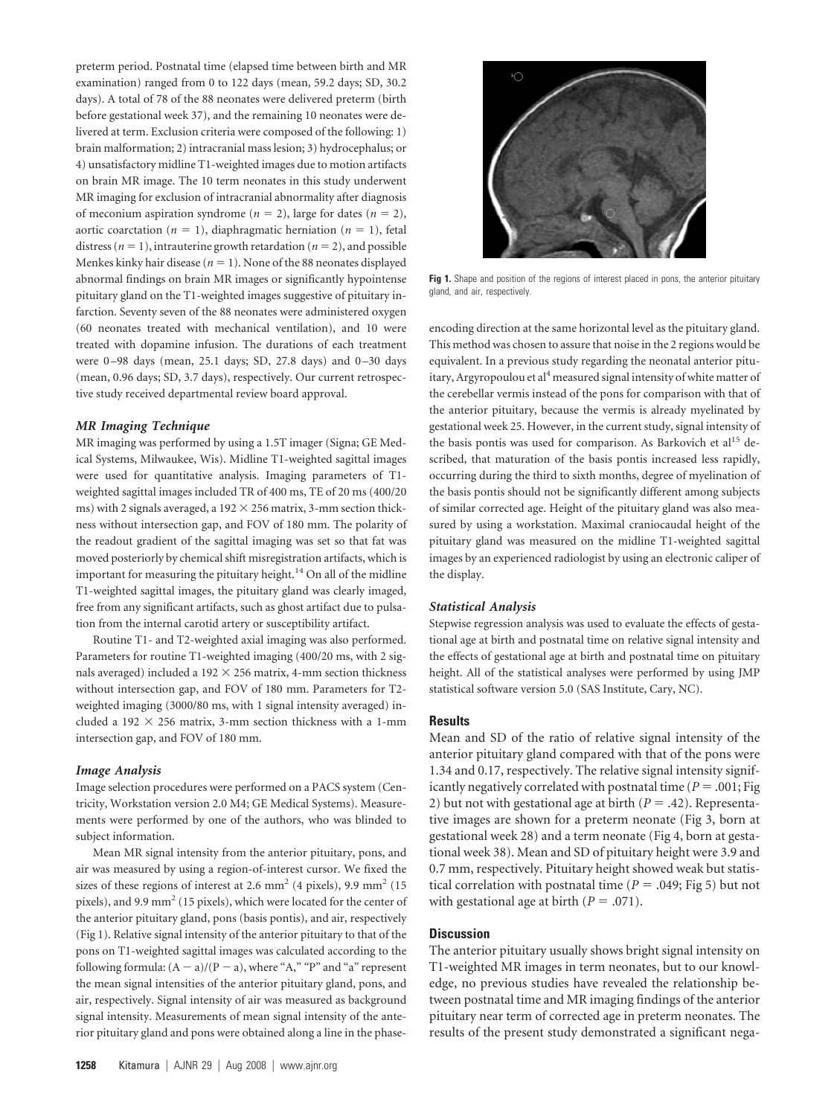preterm period. Postnatal time (elapsed time between birth and MR examination) ranged from 0 to 122 days (mean, 59.2 days; SD, 30.2 days). A total of 78 of the 88 neonates were delivered preterm (birth before gestational week 37), and the remaining 10 neonates were delivered at term. Exclusion criteria were composed of the following: 1) brain malformation; 2) intracranial mass lesion; 3) hydrocephalus; or 4) unsatisfactory midline T1-weighted images due to motion artifacts on brain MR image. The 10 term neonates in this study underwent MR imaging for exclusion of intracranial abnormality after diagnosis of meconium aspiration syndrome ( $n = 2$ ), large for dates ( $n = 2$ ), aortic coarctation ( $n = 1$ ), diaphragmatic herniation ( $n = 1$ ), fetal distress ( $n = 1$ ), intrauterine growth retardation ( $n = 2$ ), and possible Menkes kinky hair disease  $(n = 1)$ . None of the 88 neonates displayed abnormal findings on brain MR images or significantly hypointense pituitary gland on the T1-weighted images suggestive of pituitary infarction. Seventy seven of the 88 neonates were administered oxygen (60 neonates treated with mechanical ventilation), and 10 were treated with dopamine infusion. The durations of each treatment were 0-98 days (mean, 25.1 days; SD, 27.8 days) and 0-30 days (mean, 0.96 days; SD, 3.7 days), respectively. Our current retrospective study received departmental review board approval.

#### *MR Imaging Technique*

MR imaging was performed by using a 1.5T imager (Signa; GE Medical Systems, Milwaukee, Wis). Midline T1-weighted sagittal images were used for quantitative analysis. Imaging parameters of T1 weighted sagittal images included TR of 400 ms, TE of 20 ms (400/20 ms) with 2 signals averaged, a  $192 \times 256$  matrix, 3-mm section thickness without intersection gap, and FOV of 180 mm. The polarity of the readout gradient of the sagittal imaging was set so that fat was moved posteriorly by chemical shift misregistration artifacts, which is important for measuring the pituitary height.<sup>14</sup> On all of the midline T1-weighted sagittal images, the pituitary gland was clearly imaged, free from any significant artifacts, such as ghost artifact due to pulsation from the internal carotid artery or susceptibility artifact.

Routine T1- and T2-weighted axial imaging was also performed. Parameters for routine T1-weighted imaging (400/20 ms, with 2 signals averaged) included a 192  $\times$  256 matrix, 4-mm section thickness without intersection gap, and FOV of 180 mm. Parameters for T2 weighted imaging (3000/80 ms, with 1 signal intensity averaged) included a 192  $\times$  256 matrix, 3-mm section thickness with a 1-mm intersection gap, and FOV of 180 mm.

#### *Image Analysis*

Image selection procedures were performed on a PACS system (Centricity, Workstation version 2.0 M4; GE Medical Systems). Measurements were performed by one of the authors, who was blinded to subject information.

Mean MR signal intensity from the anterior pituitary, pons, and air was measured by using a region-of-interest cursor. We fixed the sizes of these regions of interest at 2.6 mm<sup>2</sup> (4 pixels), 9.9 mm<sup>2</sup> (15 pixels), and 9.9 mm2 (15 pixels), which were located for the center of the anterior pituitary gland, pons (basis pontis), and air, respectively (Fig 1). Relative signal intensity of the anterior pituitary to that of the pons on T1-weighted sagittal images was calculated according to the following formula:  $(A - a)/(P - a)$ , where "A," "P" and "a" represent the mean signal intensities of the anterior pituitary gland, pons, and air, respectively. Signal intensity of air was measured as background signal intensity. Measurements of mean signal intensity of the anterior pituitary gland and pons were obtained along a line in the phase-



Fig 1. Shape and position of the regions of interest placed in pons, the anterior pituitary gland, and air, respectively.

encoding direction at the same horizontal level as the pituitary gland. This method was chosen to assure that noise in the 2 regions would be equivalent. In a previous study regarding the neonatal anterior pituitary, Argyropoulou et al<sup>4</sup> measured signal intensity of white matter of the cerebellar vermis instead of the pons for comparison with that of the anterior pituitary, because the vermis is already myelinated by gestational week 25. However, in the current study, signal intensity of the basis pontis was used for comparison. As Barkovich et al<sup>15</sup> described, that maturation of the basis pontis increased less rapidly, occurring during the third to sixth months, degree of myelination of the basis pontis should not be significantly different among subjects of similar corrected age. Height of the pituitary gland was also measured by using a workstation. Maximal craniocaudal height of the pituitary gland was measured on the midline T1-weighted sagittal images by an experienced radiologist by using an electronic caliper of the display.

#### *Statistical Analysis*

Stepwise regression analysis was used to evaluate the effects of gestational age at birth and postnatal time on relative signal intensity and the effects of gestational age at birth and postnatal time on pituitary height. All of the statistical analyses were performed by using JMP statistical software version 5.0 (SAS Institute, Cary, NC).

#### **Results**

Mean and SD of the ratio of relative signal intensity of the anterior pituitary gland compared with that of the pons were 1.34 and 0.17, respectively. The relative signal intensity significantly negatively correlated with postnatal time ( $P = .001;$  Fig 2) but not with gestational age at birth  $(P = .42)$ . Representative images are shown for a preterm neonate (Fig 3, born at gestational week 28) and a term neonate (Fig 4, born at gestational week 38). Mean and SD of pituitary height were 3.9 and 0.7 mm, respectively. Pituitary height showed weak but statistical correlation with postnatal time ( $P = .049$ ; Fig 5) but not with gestational age at birth  $(P = .071)$ .

### **Discussion**

The anterior pituitary usually shows bright signal intensity on T1-weighted MR images in term neonates, but to our knowledge, no previous studies have revealed the relationship between postnatal time and MR imaging findings of the anterior pituitary near term of corrected age in preterm neonates. The results of the present study demonstrated a significant nega-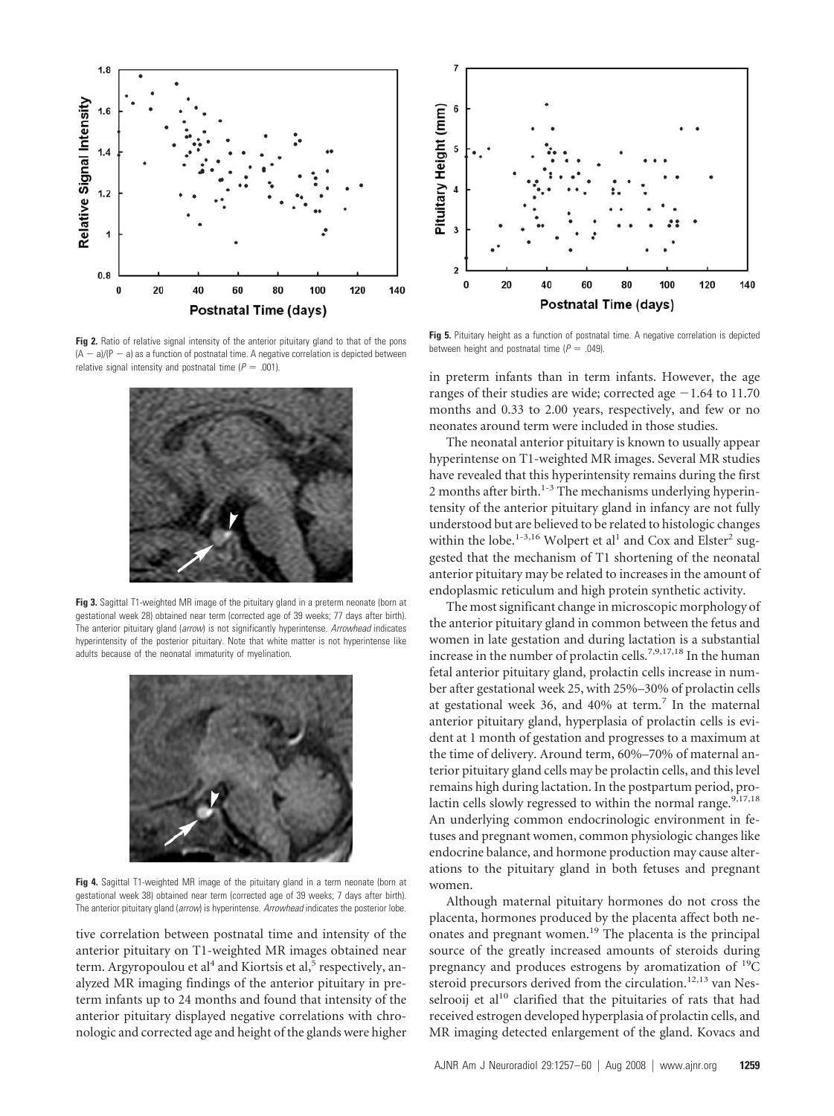

**Fig 2.** Ratio of relative signal intensity of the anterior pituitary gland to that of the pons  $(A - a)/(P - a)$  as a function of postnatal time. A negative correlation is depicted between relative signal intensity and postnatal time  $(P = .001)$ .



**Fig 3.** Sagittal T1-weighted MR image of the pituitary gland in a preterm neonate (born at gestational week 28) obtained near term (corrected age of 39 weeks; 77 days after birth). The anterior pituitary gland (*arrow*) is not significantly hyperintense. *Arrowhead* indicates hyperintensity of the posterior pituitary. Note that white matter is not hyperintense like adults because of the neonatal immaturity of myelination.



Fig 4. Sagittal T1-weighted MR image of the pituitary gland in a term neonate (born at gestational week 38) obtained near term (corrected age of 39 weeks; 7 days after birth). The anterior pituitary gland (*arrow*) is hyperintense. *Arrowhead* indicates the posterior lobe.

tive correlation between postnatal time and intensity of the anterior pituitary on T1-weighted MR images obtained near term. Argyropoulou et al<sup>4</sup> and Kiortsis et al,<sup>5</sup> respectively, analyzed MR imaging findings of the anterior pituitary in preterm infants up to 24 months and found that intensity of the anterior pituitary displayed negative correlations with chronologic and corrected age and height of the glands were higher



**Fig 5.** Pituitary height as a function of postnatal time. A negative correlation is depicted between height and postnatal time  $(P = .049)$ .

in preterm infants than in term infants. However, the age ranges of their studies are wide; corrected age  $-1.64$  to 11.70 months and 0.33 to 2.00 years, respectively, and few or no neonates around term were included in those studies.

The neonatal anterior pituitary is known to usually appear hyperintense on T1-weighted MR images. Several MR studies have revealed that this hyperintensity remains during the first 2 months after birth.<sup>1-3</sup> The mechanisms underlying hyperintensity of the anterior pituitary gland in infancy are not fully understood but are believed to be related to histologic changes within the lobe.<sup>1-3,16</sup> Wolpert et al<sup>1</sup> and Cox and Elster<sup>2</sup> suggested that the mechanism of T1 shortening of the neonatal anterior pituitary may be related to increases in the amount of endoplasmic reticulum and high protein synthetic activity.

The most significant change in microscopic morphology of the anterior pituitary gland in common between the fetus and women in late gestation and during lactation is a substantial increase in the number of prolactin cells.<sup>7,9,17,18</sup> In the human fetal anterior pituitary gland, prolactin cells increase in number after gestational week 25, with 25%–30% of prolactin cells at gestational week 36, and 40% at term.<sup>7</sup> In the maternal anterior pituitary gland, hyperplasia of prolactin cells is evident at 1 month of gestation and progresses to a maximum at the time of delivery. Around term, 60%–70% of maternal anterior pituitary gland cells may be prolactin cells, and this level remains high during lactation. In the postpartum period, prolactin cells slowly regressed to within the normal range.<sup>9,17,18</sup> An underlying common endocrinologic environment in fetuses and pregnant women, common physiologic changes like endocrine balance, and hormone production may cause alterations to the pituitary gland in both fetuses and pregnant women.

Although maternal pituitary hormones do not cross the placenta, hormones produced by the placenta affect both neonates and pregnant women.19 The placenta is the principal source of the greatly increased amounts of steroids during pregnancy and produces estrogens by aromatization of  $^{19}C$ steroid precursors derived from the circulation.<sup>12,13</sup> van Nesselrooij et al<sup>10</sup> clarified that the pituitaries of rats that had received estrogen developed hyperplasia of prolactin cells, and MR imaging detected enlargement of the gland. Kovacs and